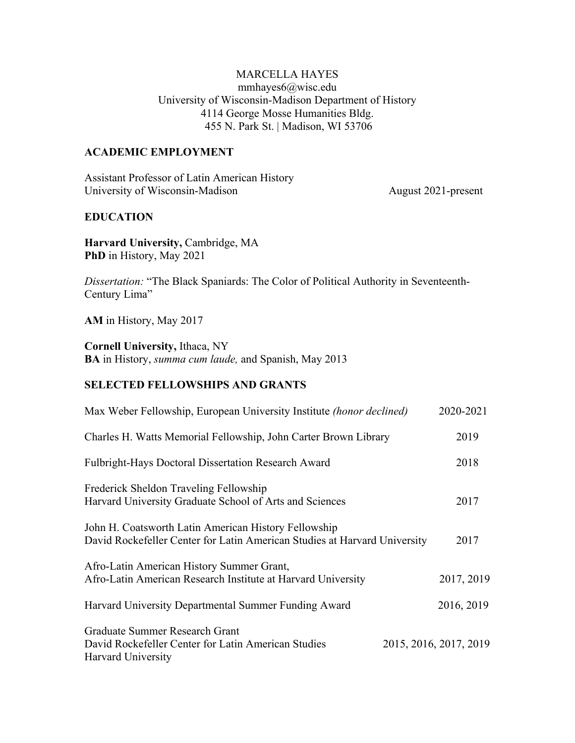### MARCELLA HAYES mmhayes6@wisc.edu University of Wisconsin-Madison Department of History 4114 George Mosse Humanities Bldg. 455 N. Park St. | Madison, WI 53706

#### **ACADEMIC EMPLOYMENT**

Assistant Professor of Latin American History University of Wisconsin-Madison August 2021-present

#### **EDUCATION**

**Harvard University,** Cambridge, MA **PhD** in History, May 2021

*Dissertation:* "The Black Spaniards: The Color of Political Authority in Seventeenth-Century Lima"

**AM** in History, May 2017

**Cornell University,** Ithaca, NY **BA** in History, *summa cum laude,* and Spanish, May 2013

#### **SELECTED FELLOWSHIPS AND GRANTS**

| Max Weber Fellowship, European University Institute (honor declined)                                                              | 2020-2021              |
|-----------------------------------------------------------------------------------------------------------------------------------|------------------------|
| Charles H. Watts Memorial Fellowship, John Carter Brown Library                                                                   | 2019                   |
| <b>Fulbright-Hays Doctoral Dissertation Research Award</b>                                                                        | 2018                   |
| Frederick Sheldon Traveling Fellowship<br>Harvard University Graduate School of Arts and Sciences                                 | 2017                   |
| John H. Coatsworth Latin American History Fellowship<br>David Rockefeller Center for Latin American Studies at Harvard University | 2017                   |
| Afro-Latin American History Summer Grant,<br>Afro-Latin American Research Institute at Harvard University                         | 2017, 2019             |
| Harvard University Departmental Summer Funding Award                                                                              | 2016, 2019             |
| Graduate Summer Research Grant<br>David Rockefeller Center for Latin American Studies<br>Harvard University                       | 2015, 2016, 2017, 2019 |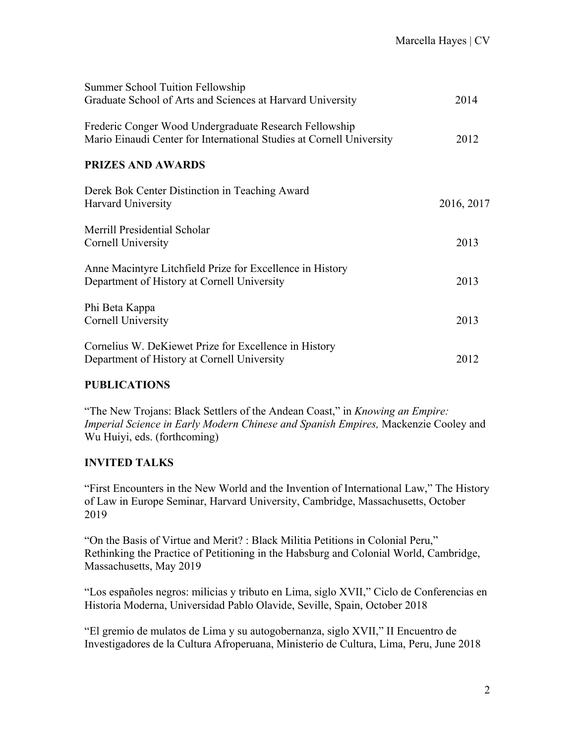| Summer School Tuition Fellowship                                                                                               |            |
|--------------------------------------------------------------------------------------------------------------------------------|------------|
| Graduate School of Arts and Sciences at Harvard University                                                                     | 2014       |
| Frederic Conger Wood Undergraduate Research Fellowship<br>Mario Einaudi Center for International Studies at Cornell University | 2012       |
| <b>PRIZES AND AWARDS</b>                                                                                                       |            |
| Derek Bok Center Distinction in Teaching Award<br>Harvard University                                                           | 2016, 2017 |
| Merrill Presidential Scholar<br>Cornell University                                                                             | 2013       |
| Anne Macintyre Litchfield Prize for Excellence in History<br>Department of History at Cornell University                       | 2013       |
| Phi Beta Kappa<br>Cornell University                                                                                           | 2013       |
| Cornelius W. DeKiewet Prize for Excellence in History<br>Department of History at Cornell University                           | 2012       |

## **PUBLICATIONS**

"The New Trojans: Black Settlers of the Andean Coast," in *Knowing an Empire: Imperial Science in Early Modern Chinese and Spanish Empires,* Mackenzie Cooley and Wu Huiyi, eds. (forthcoming)

## **INVITED TALKS**

"First Encounters in the New World and the Invention of International Law," The History of Law in Europe Seminar, Harvard University, Cambridge, Massachusetts, October 2019

"On the Basis of Virtue and Merit? : Black Militia Petitions in Colonial Peru," Rethinking the Practice of Petitioning in the Habsburg and Colonial World, Cambridge, Massachusetts, May 2019

"Los españoles negros: milicias y tributo en Lima, siglo XVII," Ciclo de Conferencias en Historia Moderna, Universidad Pablo Olavide, Seville, Spain, October 2018

"El gremio de mulatos de Lima y su autogobernanza, siglo XVII," II Encuentro de Investigadores de la Cultura Afroperuana, Ministerio de Cultura, Lima, Peru, June 2018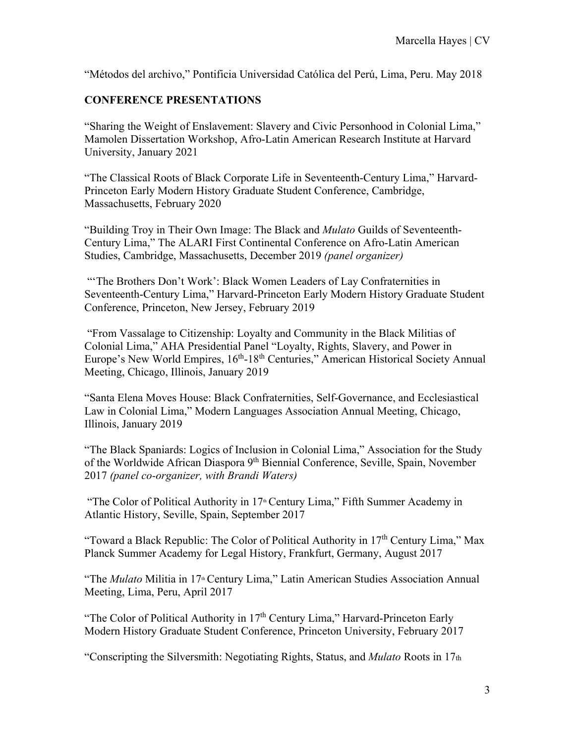"Métodos del archivo," Pontificia Universidad Católica del Perú, Lima, Peru. May 2018

## **CONFERENCE PRESENTATIONS**

"Sharing the Weight of Enslavement: Slavery and Civic Personhood in Colonial Lima," Mamolen Dissertation Workshop, Afro-Latin American Research Institute at Harvard University, January 2021

"The Classical Roots of Black Corporate Life in Seventeenth-Century Lima," Harvard-Princeton Early Modern History Graduate Student Conference, Cambridge, Massachusetts, February 2020

"Building Troy in Their Own Image: The Black and *Mulato* Guilds of Seventeenth-Century Lima," The ALARI First Continental Conference on Afro-Latin American Studies, Cambridge, Massachusetts, December 2019 *(panel organizer)* 

"The Brothers Don't Work': Black Women Leaders of Lay Confraternities in Seventeenth-Century Lima," Harvard-Princeton Early Modern History Graduate Student Conference, Princeton, New Jersey, February 2019

 "From Vassalage to Citizenship: Loyalty and Community in the Black Militias of Colonial Lima," AHA Presidential Panel "Loyalty, Rights, Slavery, and Power in Europe's New World Empires, 16<sup>th</sup>-18<sup>th</sup> Centuries," American Historical Society Annual Meeting, Chicago, Illinois, January 2019

"Santa Elena Moves House: Black Confraternities, Self-Governance, and Ecclesiastical Law in Colonial Lima," Modern Languages Association Annual Meeting, Chicago, Illinois, January 2019

"The Black Spaniards: Logics of Inclusion in Colonial Lima," Association for the Study of the Worldwide African Diaspora 9th Biennial Conference, Seville, Spain, November 2017 *(panel co-organizer, with Brandi Waters)* 

"The Color of Political Authority in  $17$ <sup>th</sup> Century Lima," Fifth Summer Academy in Atlantic History, Seville, Spain, September 2017

"Toward a Black Republic: The Color of Political Authority in  $17<sup>th</sup>$  Century Lima," Max Planck Summer Academy for Legal History, Frankfurt, Germany, August 2017

"The *Mulato* Militia in 17<sup>th</sup> Century Lima," Latin American Studies Association Annual Meeting, Lima, Peru, April 2017

"The Color of Political Authority in 17<sup>th</sup> Century Lima," Harvard-Princeton Early Modern History Graduate Student Conference, Princeton University, February 2017

"Conscripting the Silversmith: Negotiating Rights, Status, and *Mulato* Roots in 17th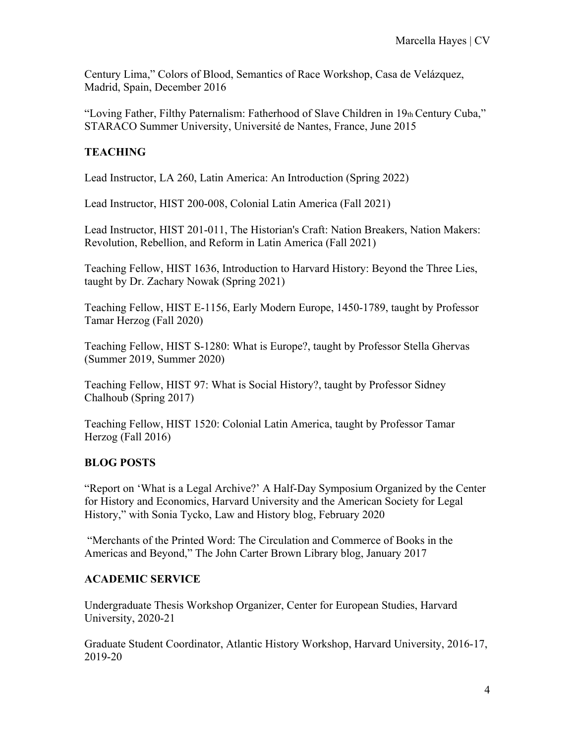Century Lima," Colors of Blood, Semantics of Race Workshop, Casa de Velázquez, Madrid, Spain, December 2016

"Loving Father, Filthy Paternalism: Fatherhood of Slave Children in 19th Century Cuba," STARACO Summer University, Université de Nantes, France, June 2015

# **TEACHING**

Lead Instructor, LA 260, Latin America: An Introduction (Spring 2022)

Lead Instructor, HIST 200-008, Colonial Latin America (Fall 2021)

Lead Instructor, HIST 201-011, The Historian's Craft: Nation Breakers, Nation Makers: Revolution, Rebellion, and Reform in Latin America (Fall 2021)

Teaching Fellow, HIST 1636, Introduction to Harvard History: Beyond the Three Lies, taught by Dr. Zachary Nowak (Spring 2021)

Teaching Fellow, HIST E-1156, Early Modern Europe, 1450-1789, taught by Professor Tamar Herzog (Fall 2020)

Teaching Fellow, HIST S-1280: What is Europe?, taught by Professor Stella Ghervas (Summer 2019, Summer 2020)

Teaching Fellow, HIST 97: What is Social History?, taught by Professor Sidney Chalhoub (Spring 2017)

Teaching Fellow, HIST 1520: Colonial Latin America, taught by Professor Tamar Herzog (Fall 2016)

# **BLOG POSTS**

"Report on 'What is a Legal Archive?' A Half-Day Symposium Organized by the Center for History and Economics, Harvard University and the American Society for Legal History," with Sonia Tycko, Law and History blog, February 2020

 "Merchants of the Printed Word: The Circulation and Commerce of Books in the Americas and Beyond," The John Carter Brown Library blog, January 2017

## **ACADEMIC SERVICE**

Undergraduate Thesis Workshop Organizer, Center for European Studies, Harvard University, 2020-21

Graduate Student Coordinator, Atlantic History Workshop, Harvard University, 2016-17, 2019-20